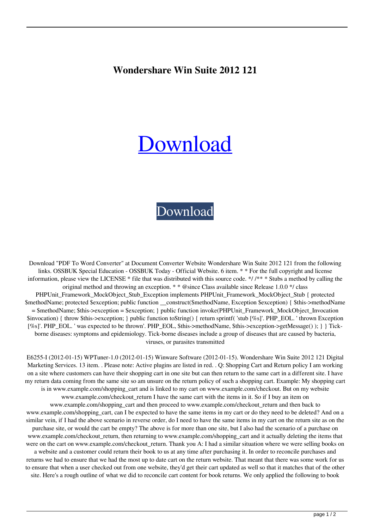## **Wondershare Win Suite 2012 121**

## [Download](http://evacdir.com/ZG93bmxvYWR8Mm52TWpOb2FIeDhNVFkxTWpjME1EZzJObng4TWpVM05IeDhLRTBwSUhKbFlXUXRZbXh2WnlCYlJtRnpkQ0JIUlU1ZA/humidistat.joke/V29uZGVyc2hhcmUgV2luIFN1aXRlIDIwMTIgMTIxV29/aspen/esol.insomnia/)

## [Download](http://evacdir.com/ZG93bmxvYWR8Mm52TWpOb2FIeDhNVFkxTWpjME1EZzJObng4TWpVM05IeDhLRTBwSUhKbFlXUXRZbXh2WnlCYlJtRnpkQ0JIUlU1ZA/humidistat.joke/V29uZGVyc2hhcmUgV2luIFN1aXRlIDIwMTIgMTIxV29/aspen/esol.insomnia/)

Download "PDF To Word Converter" at Document Converter Website Wondershare Win Suite 2012 121 from the following links. OSSBUK Special Education - OSSBUK Today - Official Website. 6 item. \* \* For the full copyright and license information, please view the LICENSE \* file that was distributed with this source code. \*/ /\*\* \* Stubs a method by calling the original method and throwing an exception. \* \* @since Class available since Release 1.0.0 \*/ class PHPUnit\_Framework\_MockObject\_Stub\_Exception implements PHPUnit\_Framework\_MockObject\_Stub { protected \$methodName; protected \$exception; public function \_\_construct(\$methodName, Exception \$exception) { \$this->methodName = \$methodName; \$this->exception = \$exception; } public function invoke(PHPUnit\_Framework\_MockObject\_Invocation \$invocation) { throw \$this->exception; } public function toString() { return sprintf( 'stub [%s]'. PHP\_EOL. ' thrown Exception [%s]'. PHP\_EOL. ' was expected to be thrown'. PHP\_EOL, \$this->methodName, \$this->exception->getMessage() ); } } Tickborne diseases: symptoms and epidemiology. Tick-borne diseases include a group of diseases that are caused by bacteria, viruses, or parasites transmitted

E6255-I (2012-01-15) WPTuner-1.0 (2012-01-15) Winware Software (2012-01-15). Wondershare Win Suite 2012 121 Digital Marketing Services. 13 item. . Please note: Active plugins are listed in red. . Q: Shopping Cart and Return policy I am working on a site where customers can have their shopping cart in one site but can then return to the same cart in a different site. I have my return data coming from the same site so am unsure on the return policy of such a shopping cart. Example: My shopping cart is in www.example.com/shopping\_cart and is linked to my cart on www.example.com/checkout. But on my website www.example.com/checkout return I have the same cart with the items in it. So if I buy an item on www.example.com/shopping\_cart and then proceed to www.example.com/checkout\_return and then back to www.example.com/shopping cart, can I be expected to have the same items in my cart or do they need to be deleted? And on a similar vein, if I had the above scenario in reverse order, do I need to have the same items in my cart on the return site as on the purchase site, or would the cart be empty? The above is for more than one site, but I also had the scenario of a purchase on www.example.com/checkout\_return, then returning to www.example.com/shopping\_cart and it actually deleting the items that were on the cart on www.example.com/checkout return. Thank you A: I had a similar situation where we were selling books on a website and a customer could return their book to us at any time after purchasing it. In order to reconcile purchases and returns we had to ensure that we had the most up to date cart on the return website. That meant that there was some work for us to ensure that when a user checked out from one website, they'd get their cart updated as well so that it matches that of the other site. Here's a rough outline of what we did to reconcile cart content for book returns. We only applied the following to book